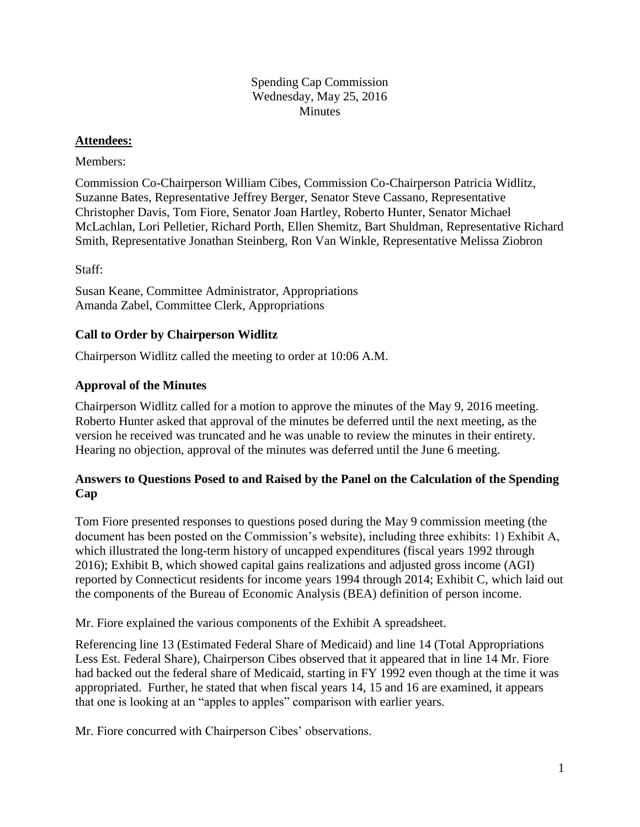#### Spending Cap Commission Wednesday, May 25, 2016 **Minutes**

#### **Attendees:**

#### Members:

Commission Co-Chairperson William Cibes, Commission Co-Chairperson Patricia Widlitz, Suzanne Bates, Representative Jeffrey Berger, Senator Steve Cassano, Representative Christopher Davis, Tom Fiore, Senator Joan Hartley, Roberto Hunter, Senator Michael McLachlan, Lori Pelletier, Richard Porth, Ellen Shemitz, Bart Shuldman, Representative Richard Smith, Representative Jonathan Steinberg, Ron Van Winkle, Representative Melissa Ziobron

Staff:

Susan Keane, Committee Administrator, Appropriations Amanda Zabel, Committee Clerk, Appropriations

# **Call to Order by Chairperson Widlitz**

Chairperson Widlitz called the meeting to order at 10:06 A.M.

# **Approval of the Minutes**

Chairperson Widlitz called for a motion to approve the minutes of the May 9, 2016 meeting. Roberto Hunter asked that approval of the minutes be deferred until the next meeting, as the version he received was truncated and he was unable to review the minutes in their entirety. Hearing no objection, approval of the minutes was deferred until the June 6 meeting.

# **Answers to Questions Posed to and Raised by the Panel on the Calculation of the Spending Cap**

Tom Fiore presented responses to questions posed during the May 9 commission meeting (the document has been posted on the Commission's website), including three exhibits: 1) Exhibit A, which illustrated the long-term history of uncapped expenditures (fiscal years 1992 through 2016); Exhibit B, which showed capital gains realizations and adjusted gross income (AGI) reported by Connecticut residents for income years 1994 through 2014; Exhibit C, which laid out the components of the Bureau of Economic Analysis (BEA) definition of person income.

Mr. Fiore explained the various components of the Exhibit A spreadsheet.

Referencing line 13 (Estimated Federal Share of Medicaid) and line 14 (Total Appropriations Less Est. Federal Share), Chairperson Cibes observed that it appeared that in line 14 Mr. Fiore had backed out the federal share of Medicaid, starting in FY 1992 even though at the time it was appropriated. Further, he stated that when fiscal years 14, 15 and 16 are examined, it appears that one is looking at an "apples to apples" comparison with earlier years.

Mr. Fiore concurred with Chairperson Cibes' observations.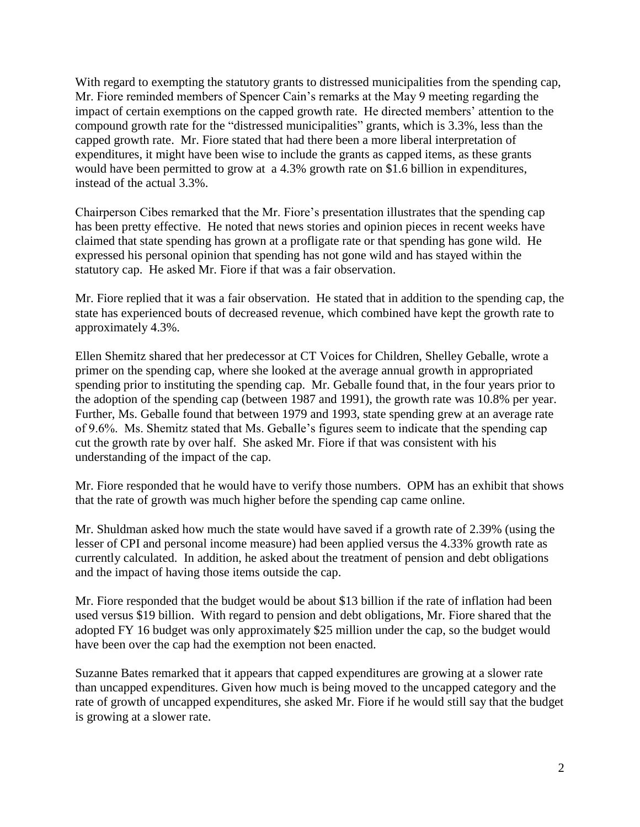With regard to exempting the statutory grants to distressed municipalities from the spending cap, Mr. Fiore reminded members of Spencer Cain's remarks at the May 9 meeting regarding the impact of certain exemptions on the capped growth rate. He directed members' attention to the compound growth rate for the "distressed municipalities" grants, which is 3.3%, less than the capped growth rate. Mr. Fiore stated that had there been a more liberal interpretation of expenditures, it might have been wise to include the grants as capped items, as these grants would have been permitted to grow at a 4.3% growth rate on \$1.6 billion in expenditures, instead of the actual 3.3%.

Chairperson Cibes remarked that the Mr. Fiore's presentation illustrates that the spending cap has been pretty effective. He noted that news stories and opinion pieces in recent weeks have claimed that state spending has grown at a profligate rate or that spending has gone wild. He expressed his personal opinion that spending has not gone wild and has stayed within the statutory cap. He asked Mr. Fiore if that was a fair observation.

Mr. Fiore replied that it was a fair observation. He stated that in addition to the spending cap, the state has experienced bouts of decreased revenue, which combined have kept the growth rate to approximately 4.3%.

Ellen Shemitz shared that her predecessor at CT Voices for Children, Shelley Geballe, wrote a primer on the spending cap, where she looked at the average annual growth in appropriated spending prior to instituting the spending cap. Mr. Geballe found that, in the four years prior to the adoption of the spending cap (between 1987 and 1991), the growth rate was 10.8% per year. Further, Ms. Geballe found that between 1979 and 1993, state spending grew at an average rate of 9.6%. Ms. Shemitz stated that Ms. Geballe's figures seem to indicate that the spending cap cut the growth rate by over half. She asked Mr. Fiore if that was consistent with his understanding of the impact of the cap.

Mr. Fiore responded that he would have to verify those numbers. OPM has an exhibit that shows that the rate of growth was much higher before the spending cap came online.

Mr. Shuldman asked how much the state would have saved if a growth rate of 2.39% (using the lesser of CPI and personal income measure) had been applied versus the 4.33% growth rate as currently calculated. In addition, he asked about the treatment of pension and debt obligations and the impact of having those items outside the cap.

Mr. Fiore responded that the budget would be about \$13 billion if the rate of inflation had been used versus \$19 billion. With regard to pension and debt obligations, Mr. Fiore shared that the adopted FY 16 budget was only approximately \$25 million under the cap, so the budget would have been over the cap had the exemption not been enacted.

Suzanne Bates remarked that it appears that capped expenditures are growing at a slower rate than uncapped expenditures. Given how much is being moved to the uncapped category and the rate of growth of uncapped expenditures, she asked Mr. Fiore if he would still say that the budget is growing at a slower rate.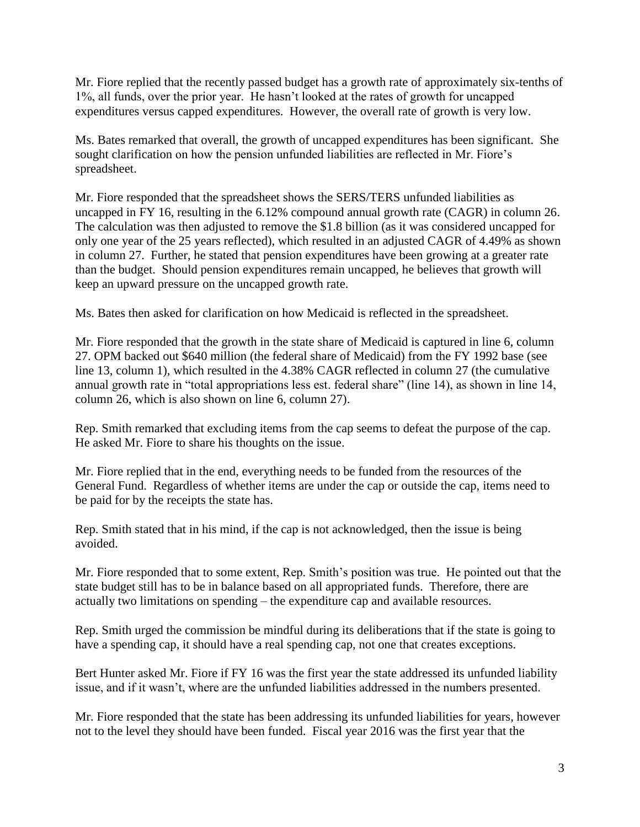Mr. Fiore replied that the recently passed budget has a growth rate of approximately six-tenths of 1%, all funds, over the prior year. He hasn't looked at the rates of growth for uncapped expenditures versus capped expenditures. However, the overall rate of growth is very low.

Ms. Bates remarked that overall, the growth of uncapped expenditures has been significant. She sought clarification on how the pension unfunded liabilities are reflected in Mr. Fiore's spreadsheet.

Mr. Fiore responded that the spreadsheet shows the SERS/TERS unfunded liabilities as uncapped in FY 16, resulting in the 6.12% compound annual growth rate (CAGR) in column 26. The calculation was then adjusted to remove the \$1.8 billion (as it was considered uncapped for only one year of the 25 years reflected), which resulted in an adjusted CAGR of 4.49% as shown in column 27. Further, he stated that pension expenditures have been growing at a greater rate than the budget. Should pension expenditures remain uncapped, he believes that growth will keep an upward pressure on the uncapped growth rate.

Ms. Bates then asked for clarification on how Medicaid is reflected in the spreadsheet.

Mr. Fiore responded that the growth in the state share of Medicaid is captured in line 6, column 27. OPM backed out \$640 million (the federal share of Medicaid) from the FY 1992 base (see line 13, column 1), which resulted in the 4.38% CAGR reflected in column 27 (the cumulative annual growth rate in "total appropriations less est. federal share" (line 14), as shown in line 14, column 26, which is also shown on line 6, column 27).

Rep. Smith remarked that excluding items from the cap seems to defeat the purpose of the cap. He asked Mr. Fiore to share his thoughts on the issue.

Mr. Fiore replied that in the end, everything needs to be funded from the resources of the General Fund. Regardless of whether items are under the cap or outside the cap, items need to be paid for by the receipts the state has.

Rep. Smith stated that in his mind, if the cap is not acknowledged, then the issue is being avoided.

Mr. Fiore responded that to some extent, Rep. Smith's position was true. He pointed out that the state budget still has to be in balance based on all appropriated funds. Therefore, there are actually two limitations on spending – the expenditure cap and available resources.

Rep. Smith urged the commission be mindful during its deliberations that if the state is going to have a spending cap, it should have a real spending cap, not one that creates exceptions.

Bert Hunter asked Mr. Fiore if FY 16 was the first year the state addressed its unfunded liability issue, and if it wasn't, where are the unfunded liabilities addressed in the numbers presented.

Mr. Fiore responded that the state has been addressing its unfunded liabilities for years, however not to the level they should have been funded. Fiscal year 2016 was the first year that the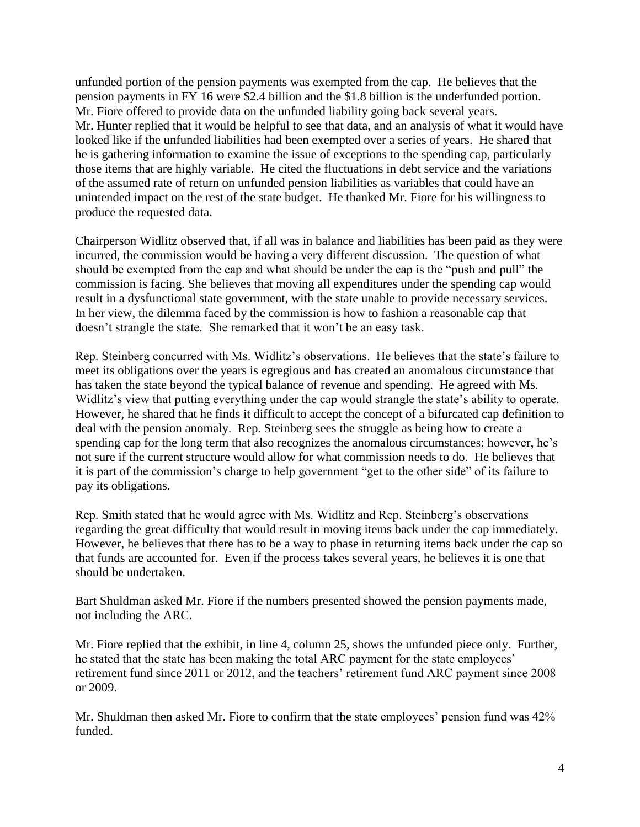unfunded portion of the pension payments was exempted from the cap. He believes that the pension payments in FY 16 were \$2.4 billion and the \$1.8 billion is the underfunded portion. Mr. Fiore offered to provide data on the unfunded liability going back several years. Mr. Hunter replied that it would be helpful to see that data, and an analysis of what it would have looked like if the unfunded liabilities had been exempted over a series of years. He shared that he is gathering information to examine the issue of exceptions to the spending cap, particularly those items that are highly variable. He cited the fluctuations in debt service and the variations of the assumed rate of return on unfunded pension liabilities as variables that could have an unintended impact on the rest of the state budget. He thanked Mr. Fiore for his willingness to produce the requested data.

Chairperson Widlitz observed that, if all was in balance and liabilities has been paid as they were incurred, the commission would be having a very different discussion. The question of what should be exempted from the cap and what should be under the cap is the "push and pull" the commission is facing. She believes that moving all expenditures under the spending cap would result in a dysfunctional state government, with the state unable to provide necessary services. In her view, the dilemma faced by the commission is how to fashion a reasonable cap that doesn't strangle the state. She remarked that it won't be an easy task.

Rep. Steinberg concurred with Ms. Widlitz's observations. He believes that the state's failure to meet its obligations over the years is egregious and has created an anomalous circumstance that has taken the state beyond the typical balance of revenue and spending. He agreed with Ms. Widlitz's view that putting everything under the cap would strangle the state's ability to operate. However, he shared that he finds it difficult to accept the concept of a bifurcated cap definition to deal with the pension anomaly. Rep. Steinberg sees the struggle as being how to create a spending cap for the long term that also recognizes the anomalous circumstances; however, he's not sure if the current structure would allow for what commission needs to do. He believes that it is part of the commission's charge to help government "get to the other side" of its failure to pay its obligations.

Rep. Smith stated that he would agree with Ms. Widlitz and Rep. Steinberg's observations regarding the great difficulty that would result in moving items back under the cap immediately. However, he believes that there has to be a way to phase in returning items back under the cap so that funds are accounted for. Even if the process takes several years, he believes it is one that should be undertaken.

Bart Shuldman asked Mr. Fiore if the numbers presented showed the pension payments made, not including the ARC.

Mr. Fiore replied that the exhibit, in line 4, column 25, shows the unfunded piece only. Further, he stated that the state has been making the total ARC payment for the state employees' retirement fund since 2011 or 2012, and the teachers' retirement fund ARC payment since 2008 or 2009.

Mr. Shuldman then asked Mr. Fiore to confirm that the state employees' pension fund was 42% funded.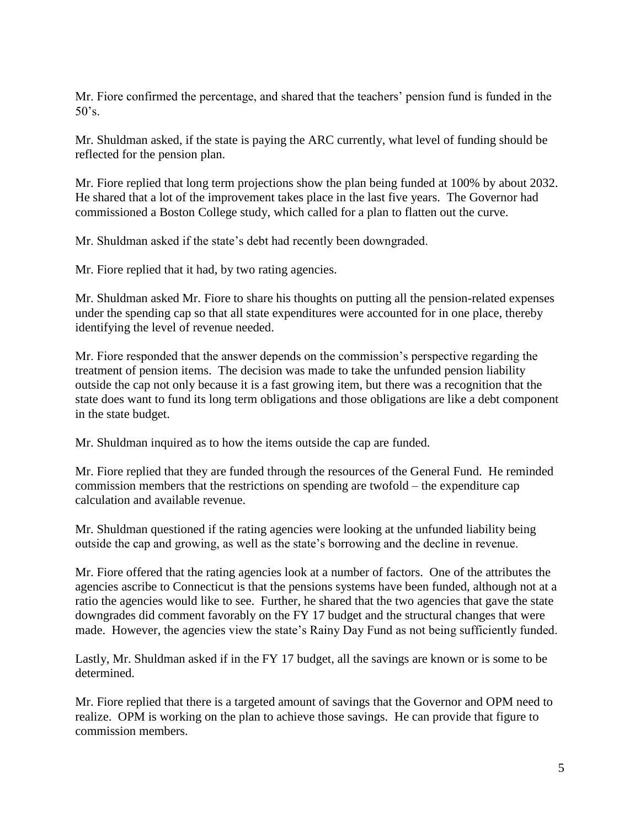Mr. Fiore confirmed the percentage, and shared that the teachers' pension fund is funded in the  $50's$ .

Mr. Shuldman asked, if the state is paying the ARC currently, what level of funding should be reflected for the pension plan.

Mr. Fiore replied that long term projections show the plan being funded at 100% by about 2032. He shared that a lot of the improvement takes place in the last five years. The Governor had commissioned a Boston College study, which called for a plan to flatten out the curve.

Mr. Shuldman asked if the state's debt had recently been downgraded.

Mr. Fiore replied that it had, by two rating agencies.

Mr. Shuldman asked Mr. Fiore to share his thoughts on putting all the pension-related expenses under the spending cap so that all state expenditures were accounted for in one place, thereby identifying the level of revenue needed.

Mr. Fiore responded that the answer depends on the commission's perspective regarding the treatment of pension items. The decision was made to take the unfunded pension liability outside the cap not only because it is a fast growing item, but there was a recognition that the state does want to fund its long term obligations and those obligations are like a debt component in the state budget.

Mr. Shuldman inquired as to how the items outside the cap are funded.

Mr. Fiore replied that they are funded through the resources of the General Fund. He reminded commission members that the restrictions on spending are twofold – the expenditure cap calculation and available revenue.

Mr. Shuldman questioned if the rating agencies were looking at the unfunded liability being outside the cap and growing, as well as the state's borrowing and the decline in revenue.

Mr. Fiore offered that the rating agencies look at a number of factors. One of the attributes the agencies ascribe to Connecticut is that the pensions systems have been funded, although not at a ratio the agencies would like to see. Further, he shared that the two agencies that gave the state downgrades did comment favorably on the FY 17 budget and the structural changes that were made. However, the agencies view the state's Rainy Day Fund as not being sufficiently funded.

Lastly, Mr. Shuldman asked if in the FY 17 budget, all the savings are known or is some to be determined.

Mr. Fiore replied that there is a targeted amount of savings that the Governor and OPM need to realize. OPM is working on the plan to achieve those savings. He can provide that figure to commission members.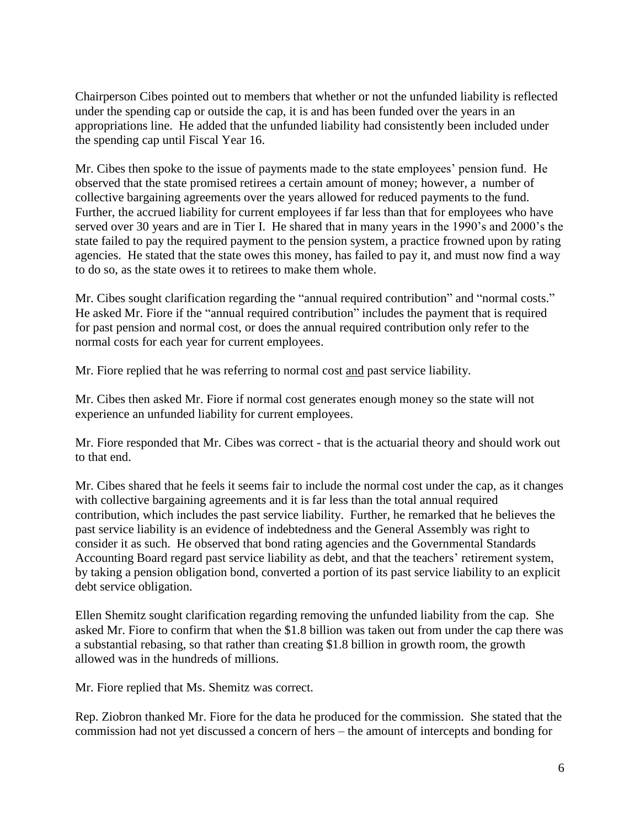Chairperson Cibes pointed out to members that whether or not the unfunded liability is reflected under the spending cap or outside the cap, it is and has been funded over the years in an appropriations line. He added that the unfunded liability had consistently been included under the spending cap until Fiscal Year 16.

Mr. Cibes then spoke to the issue of payments made to the state employees' pension fund. He observed that the state promised retirees a certain amount of money; however, a number of collective bargaining agreements over the years allowed for reduced payments to the fund. Further, the accrued liability for current employees if far less than that for employees who have served over 30 years and are in Tier I. He shared that in many years in the 1990's and 2000's the state failed to pay the required payment to the pension system, a practice frowned upon by rating agencies. He stated that the state owes this money, has failed to pay it, and must now find a way to do so, as the state owes it to retirees to make them whole.

Mr. Cibes sought clarification regarding the "annual required contribution" and "normal costs." He asked Mr. Fiore if the "annual required contribution" includes the payment that is required for past pension and normal cost, or does the annual required contribution only refer to the normal costs for each year for current employees.

Mr. Fiore replied that he was referring to normal cost and past service liability.

Mr. Cibes then asked Mr. Fiore if normal cost generates enough money so the state will not experience an unfunded liability for current employees.

Mr. Fiore responded that Mr. Cibes was correct - that is the actuarial theory and should work out to that end.

Mr. Cibes shared that he feels it seems fair to include the normal cost under the cap, as it changes with collective bargaining agreements and it is far less than the total annual required contribution, which includes the past service liability. Further, he remarked that he believes the past service liability is an evidence of indebtedness and the General Assembly was right to consider it as such. He observed that bond rating agencies and the Governmental Standards Accounting Board regard past service liability as debt, and that the teachers' retirement system, by taking a pension obligation bond, converted a portion of its past service liability to an explicit debt service obligation.

Ellen Shemitz sought clarification regarding removing the unfunded liability from the cap. She asked Mr. Fiore to confirm that when the \$1.8 billion was taken out from under the cap there was a substantial rebasing, so that rather than creating \$1.8 billion in growth room, the growth allowed was in the hundreds of millions.

Mr. Fiore replied that Ms. Shemitz was correct.

Rep. Ziobron thanked Mr. Fiore for the data he produced for the commission. She stated that the commission had not yet discussed a concern of hers – the amount of intercepts and bonding for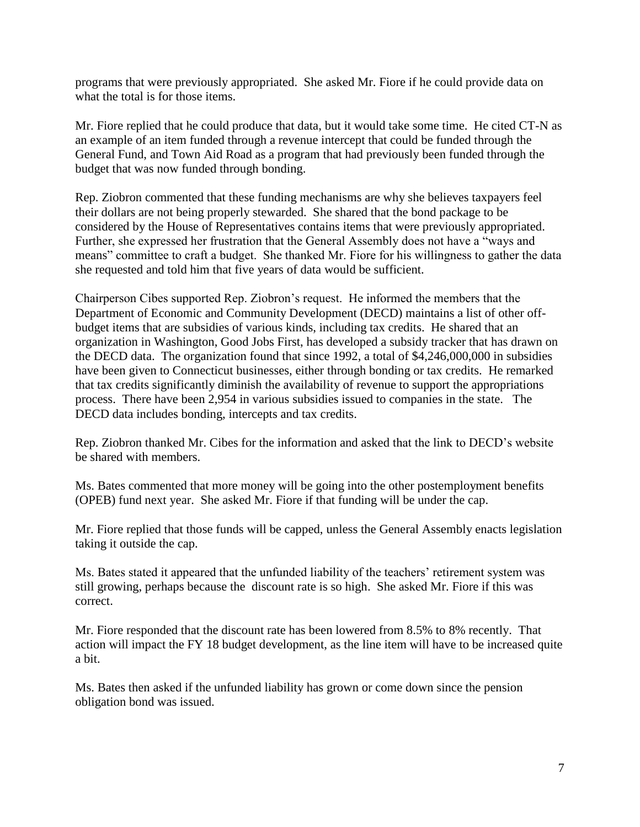programs that were previously appropriated. She asked Mr. Fiore if he could provide data on what the total is for those items.

Mr. Fiore replied that he could produce that data, but it would take some time. He cited CT-N as an example of an item funded through a revenue intercept that could be funded through the General Fund, and Town Aid Road as a program that had previously been funded through the budget that was now funded through bonding.

Rep. Ziobron commented that these funding mechanisms are why she believes taxpayers feel their dollars are not being properly stewarded. She shared that the bond package to be considered by the House of Representatives contains items that were previously appropriated. Further, she expressed her frustration that the General Assembly does not have a "ways and means" committee to craft a budget. She thanked Mr. Fiore for his willingness to gather the data she requested and told him that five years of data would be sufficient.

Chairperson Cibes supported Rep. Ziobron's request. He informed the members that the Department of Economic and Community Development (DECD) maintains a list of other offbudget items that are subsidies of various kinds, including tax credits. He shared that an organization in Washington, Good Jobs First, has developed a subsidy tracker that has drawn on the DECD data. The organization found that since 1992, a total of \$4,246,000,000 in subsidies have been given to Connecticut businesses, either through bonding or tax credits. He remarked that tax credits significantly diminish the availability of revenue to support the appropriations process. There have been 2,954 in various subsidies issued to companies in the state. The DECD data includes bonding, intercepts and tax credits.

Rep. Ziobron thanked Mr. Cibes for the information and asked that the link to DECD's website be shared with members.

Ms. Bates commented that more money will be going into the other postemployment benefits (OPEB) fund next year. She asked Mr. Fiore if that funding will be under the cap.

Mr. Fiore replied that those funds will be capped, unless the General Assembly enacts legislation taking it outside the cap.

Ms. Bates stated it appeared that the unfunded liability of the teachers' retirement system was still growing, perhaps because the discount rate is so high. She asked Mr. Fiore if this was correct.

Mr. Fiore responded that the discount rate has been lowered from 8.5% to 8% recently. That action will impact the FY 18 budget development, as the line item will have to be increased quite a bit.

Ms. Bates then asked if the unfunded liability has grown or come down since the pension obligation bond was issued.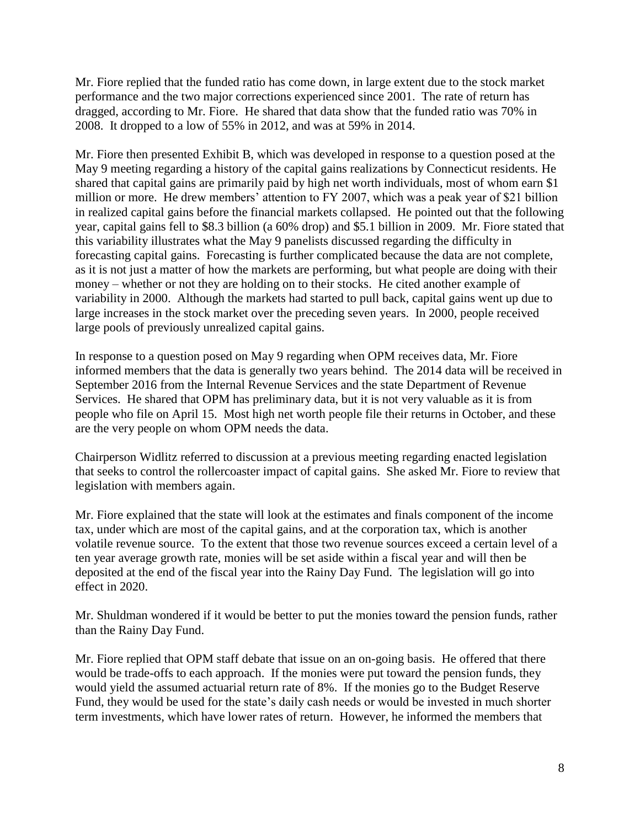Mr. Fiore replied that the funded ratio has come down, in large extent due to the stock market performance and the two major corrections experienced since 2001. The rate of return has dragged, according to Mr. Fiore. He shared that data show that the funded ratio was 70% in 2008. It dropped to a low of 55% in 2012, and was at 59% in 2014.

Mr. Fiore then presented Exhibit B, which was developed in response to a question posed at the May 9 meeting regarding a history of the capital gains realizations by Connecticut residents. He shared that capital gains are primarily paid by high net worth individuals, most of whom earn \$1 million or more. He drew members' attention to FY 2007, which was a peak year of \$21 billion in realized capital gains before the financial markets collapsed. He pointed out that the following year, capital gains fell to \$8.3 billion (a 60% drop) and \$5.1 billion in 2009. Mr. Fiore stated that this variability illustrates what the May 9 panelists discussed regarding the difficulty in forecasting capital gains. Forecasting is further complicated because the data are not complete, as it is not just a matter of how the markets are performing, but what people are doing with their money – whether or not they are holding on to their stocks. He cited another example of variability in 2000. Although the markets had started to pull back, capital gains went up due to large increases in the stock market over the preceding seven years. In 2000, people received large pools of previously unrealized capital gains.

In response to a question posed on May 9 regarding when OPM receives data, Mr. Fiore informed members that the data is generally two years behind. The 2014 data will be received in September 2016 from the Internal Revenue Services and the state Department of Revenue Services. He shared that OPM has preliminary data, but it is not very valuable as it is from people who file on April 15. Most high net worth people file their returns in October, and these are the very people on whom OPM needs the data.

Chairperson Widlitz referred to discussion at a previous meeting regarding enacted legislation that seeks to control the rollercoaster impact of capital gains. She asked Mr. Fiore to review that legislation with members again.

Mr. Fiore explained that the state will look at the estimates and finals component of the income tax, under which are most of the capital gains, and at the corporation tax, which is another volatile revenue source. To the extent that those two revenue sources exceed a certain level of a ten year average growth rate, monies will be set aside within a fiscal year and will then be deposited at the end of the fiscal year into the Rainy Day Fund. The legislation will go into effect in 2020.

Mr. Shuldman wondered if it would be better to put the monies toward the pension funds, rather than the Rainy Day Fund.

Mr. Fiore replied that OPM staff debate that issue on an on-going basis. He offered that there would be trade-offs to each approach. If the monies were put toward the pension funds, they would yield the assumed actuarial return rate of 8%. If the monies go to the Budget Reserve Fund, they would be used for the state's daily cash needs or would be invested in much shorter term investments, which have lower rates of return. However, he informed the members that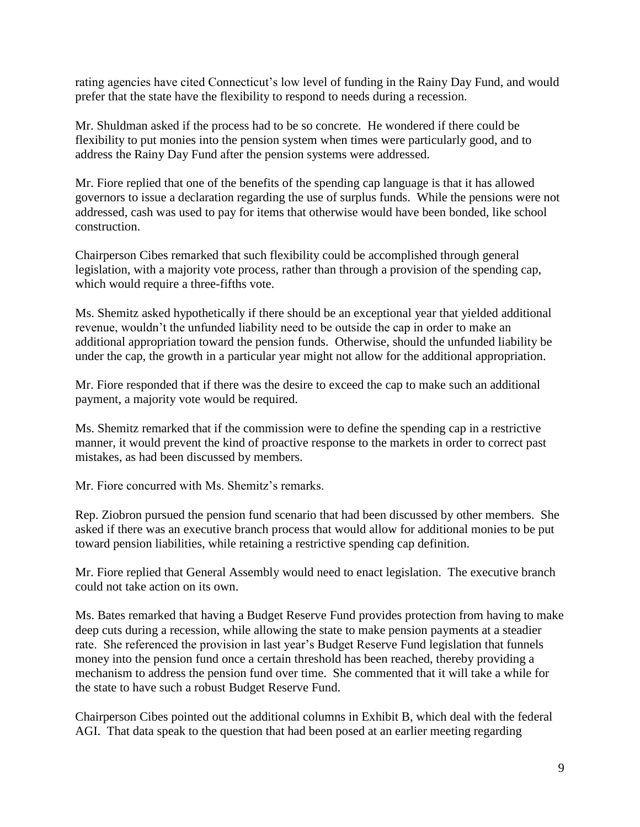rating agencies have cited Connecticut's low level of funding in the Rainy Day Fund, and would prefer that the state have the flexibility to respond to needs during a recession.

Mr. Shuldman asked if the process had to be so concrete. He wondered if there could be flexibility to put monies into the pension system when times were particularly good, and to address the Rainy Day Fund after the pension systems were addressed.

Mr. Fiore replied that one of the benefits of the spending cap language is that it has allowed governors to issue a declaration regarding the use of surplus funds. While the pensions were not addressed, cash was used to pay for items that otherwise would have been bonded, like school construction.

Chairperson Cibes remarked that such flexibility could be accomplished through general legislation, with a majority vote process, rather than through a provision of the spending cap, which would require a three-fifths vote.

Ms. Shemitz asked hypothetically if there should be an exceptional year that yielded additional revenue, wouldn't the unfunded liability need to be outside the cap in order to make an additional appropriation toward the pension funds. Otherwise, should the unfunded liability be under the cap, the growth in a particular year might not allow for the additional appropriation.

Mr. Fiore responded that if there was the desire to exceed the cap to make such an additional payment, a majority vote would be required.

Ms. Shemitz remarked that if the commission were to define the spending cap in a restrictive manner, it would prevent the kind of proactive response to the markets in order to correct past mistakes, as had been discussed by members.

Mr. Fiore concurred with Ms. Shemitz's remarks.

Rep. Ziobron pursued the pension fund scenario that had been discussed by other members. She asked if there was an executive branch process that would allow for additional monies to be put toward pension liabilities, while retaining a restrictive spending cap definition.

Mr. Fiore replied that General Assembly would need to enact legislation. The executive branch could not take action on its own.

Ms. Bates remarked that having a Budget Reserve Fund provides protection from having to make deep cuts during a recession, while allowing the state to make pension payments at a steadier rate. She referenced the provision in last year's Budget Reserve Fund legislation that funnels money into the pension fund once a certain threshold has been reached, thereby providing a mechanism to address the pension fund over time. She commented that it will take a while for the state to have such a robust Budget Reserve Fund.

Chairperson Cibes pointed out the additional columns in Exhibit B, which deal with the federal AGI. That data speak to the question that had been posed at an earlier meeting regarding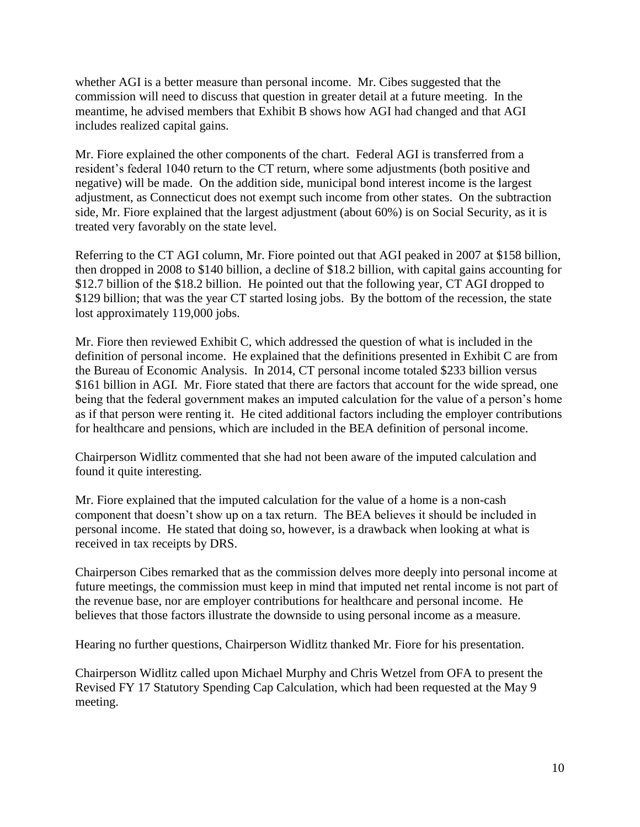whether AGI is a better measure than personal income. Mr. Cibes suggested that the commission will need to discuss that question in greater detail at a future meeting. In the meantime, he advised members that Exhibit B shows how AGI had changed and that AGI includes realized capital gains.

Mr. Fiore explained the other components of the chart. Federal AGI is transferred from a resident's federal 1040 return to the CT return, where some adjustments (both positive and negative) will be made. On the addition side, municipal bond interest income is the largest adjustment, as Connecticut does not exempt such income from other states. On the subtraction side, Mr. Fiore explained that the largest adjustment (about 60%) is on Social Security, as it is treated very favorably on the state level.

Referring to the CT AGI column, Mr. Fiore pointed out that AGI peaked in 2007 at \$158 billion, then dropped in 2008 to \$140 billion, a decline of \$18.2 billion, with capital gains accounting for \$12.7 billion of the \$18.2 billion. He pointed out that the following year, CT AGI dropped to \$129 billion; that was the year CT started losing jobs. By the bottom of the recession, the state lost approximately 119,000 jobs.

Mr. Fiore then reviewed Exhibit C, which addressed the question of what is included in the definition of personal income. He explained that the definitions presented in Exhibit C are from the Bureau of Economic Analysis. In 2014, CT personal income totaled \$233 billion versus \$161 billion in AGI. Mr. Fiore stated that there are factors that account for the wide spread, one being that the federal government makes an imputed calculation for the value of a person's home as if that person were renting it. He cited additional factors including the employer contributions for healthcare and pensions, which are included in the BEA definition of personal income.

Chairperson Widlitz commented that she had not been aware of the imputed calculation and found it quite interesting.

Mr. Fiore explained that the imputed calculation for the value of a home is a non-cash component that doesn't show up on a tax return. The BEA believes it should be included in personal income. He stated that doing so, however, is a drawback when looking at what is received in tax receipts by DRS.

Chairperson Cibes remarked that as the commission delves more deeply into personal income at future meetings, the commission must keep in mind that imputed net rental income is not part of the revenue base, nor are employer contributions for healthcare and personal income. He believes that those factors illustrate the downside to using personal income as a measure.

Hearing no further questions, Chairperson Widlitz thanked Mr. Fiore for his presentation.

Chairperson Widlitz called upon Michael Murphy and Chris Wetzel from OFA to present the Revised FY 17 Statutory Spending Cap Calculation, which had been requested at the May 9 meeting.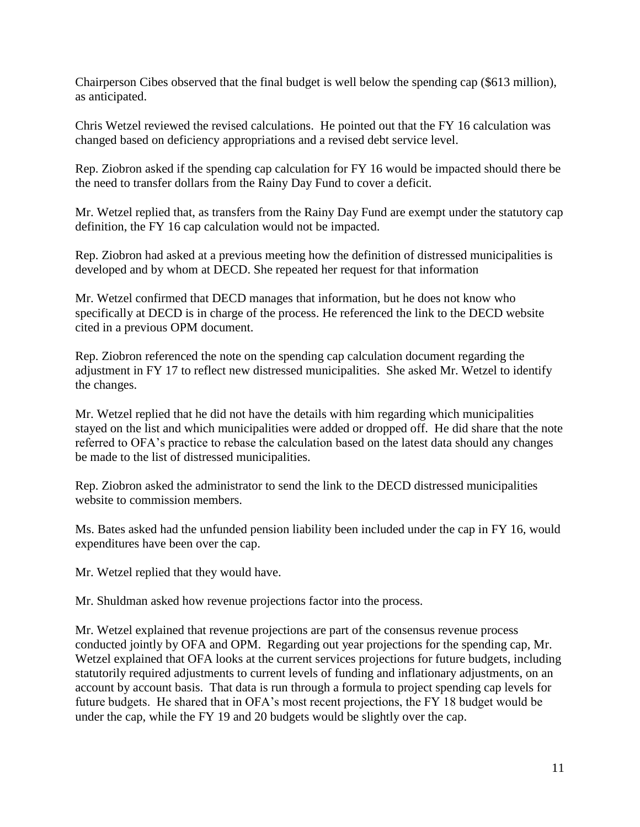Chairperson Cibes observed that the final budget is well below the spending cap (\$613 million), as anticipated.

Chris Wetzel reviewed the revised calculations. He pointed out that the FY 16 calculation was changed based on deficiency appropriations and a revised debt service level.

Rep. Ziobron asked if the spending cap calculation for FY 16 would be impacted should there be the need to transfer dollars from the Rainy Day Fund to cover a deficit.

Mr. Wetzel replied that, as transfers from the Rainy Day Fund are exempt under the statutory cap definition, the FY 16 cap calculation would not be impacted.

Rep. Ziobron had asked at a previous meeting how the definition of distressed municipalities is developed and by whom at DECD. She repeated her request for that information

Mr. Wetzel confirmed that DECD manages that information, but he does not know who specifically at DECD is in charge of the process. He referenced the link to the DECD website cited in a previous OPM document.

Rep. Ziobron referenced the note on the spending cap calculation document regarding the adjustment in FY 17 to reflect new distressed municipalities. She asked Mr. Wetzel to identify the changes.

Mr. Wetzel replied that he did not have the details with him regarding which municipalities stayed on the list and which municipalities were added or dropped off. He did share that the note referred to OFA's practice to rebase the calculation based on the latest data should any changes be made to the list of distressed municipalities.

Rep. Ziobron asked the administrator to send the link to the DECD distressed municipalities website to commission members.

Ms. Bates asked had the unfunded pension liability been included under the cap in FY 16, would expenditures have been over the cap.

Mr. Wetzel replied that they would have.

Mr. Shuldman asked how revenue projections factor into the process.

Mr. Wetzel explained that revenue projections are part of the consensus revenue process conducted jointly by OFA and OPM. Regarding out year projections for the spending cap, Mr. Wetzel explained that OFA looks at the current services projections for future budgets, including statutorily required adjustments to current levels of funding and inflationary adjustments, on an account by account basis. That data is run through a formula to project spending cap levels for future budgets. He shared that in OFA's most recent projections, the FY 18 budget would be under the cap, while the FY 19 and 20 budgets would be slightly over the cap.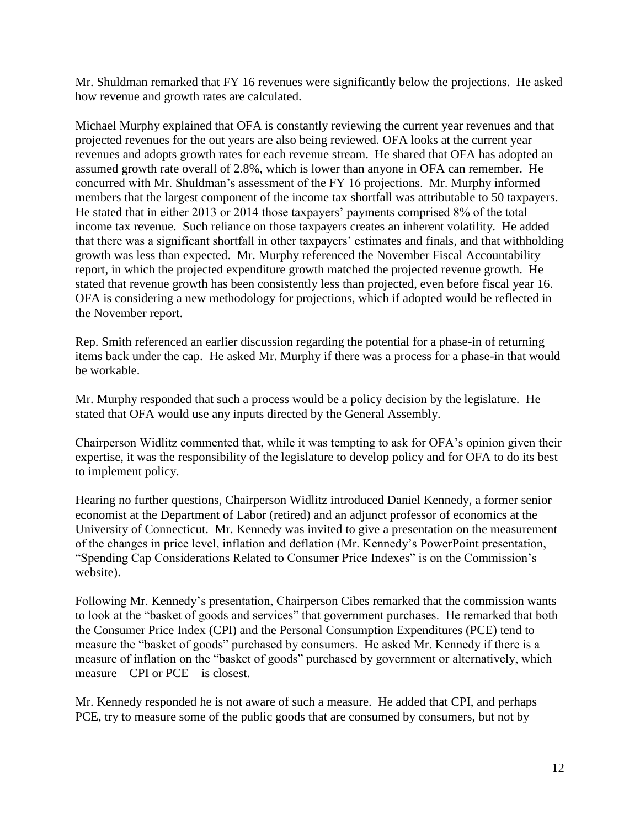Mr. Shuldman remarked that FY 16 revenues were significantly below the projections. He asked how revenue and growth rates are calculated.

Michael Murphy explained that OFA is constantly reviewing the current year revenues and that projected revenues for the out years are also being reviewed. OFA looks at the current year revenues and adopts growth rates for each revenue stream. He shared that OFA has adopted an assumed growth rate overall of 2.8%, which is lower than anyone in OFA can remember. He concurred with Mr. Shuldman's assessment of the FY 16 projections. Mr. Murphy informed members that the largest component of the income tax shortfall was attributable to 50 taxpayers. He stated that in either 2013 or 2014 those taxpayers' payments comprised 8% of the total income tax revenue. Such reliance on those taxpayers creates an inherent volatility. He added that there was a significant shortfall in other taxpayers' estimates and finals, and that withholding growth was less than expected. Mr. Murphy referenced the November Fiscal Accountability report, in which the projected expenditure growth matched the projected revenue growth. He stated that revenue growth has been consistently less than projected, even before fiscal year 16. OFA is considering a new methodology for projections, which if adopted would be reflected in the November report.

Rep. Smith referenced an earlier discussion regarding the potential for a phase-in of returning items back under the cap. He asked Mr. Murphy if there was a process for a phase-in that would be workable.

Mr. Murphy responded that such a process would be a policy decision by the legislature. He stated that OFA would use any inputs directed by the General Assembly.

Chairperson Widlitz commented that, while it was tempting to ask for OFA's opinion given their expertise, it was the responsibility of the legislature to develop policy and for OFA to do its best to implement policy.

Hearing no further questions, Chairperson Widlitz introduced Daniel Kennedy, a former senior economist at the Department of Labor (retired) and an adjunct professor of economics at the University of Connecticut. Mr. Kennedy was invited to give a presentation on the measurement of the changes in price level, inflation and deflation (Mr. Kennedy's PowerPoint presentation, "Spending Cap Considerations Related to Consumer Price Indexes" is on the Commission's website).

Following Mr. Kennedy's presentation, Chairperson Cibes remarked that the commission wants to look at the "basket of goods and services" that government purchases. He remarked that both the Consumer Price Index (CPI) and the Personal Consumption Expenditures (PCE) tend to measure the "basket of goods" purchased by consumers. He asked Mr. Kennedy if there is a measure of inflation on the "basket of goods" purchased by government or alternatively, which measure – CPI or PCE – is closest.

Mr. Kennedy responded he is not aware of such a measure. He added that CPI, and perhaps PCE, try to measure some of the public goods that are consumed by consumers, but not by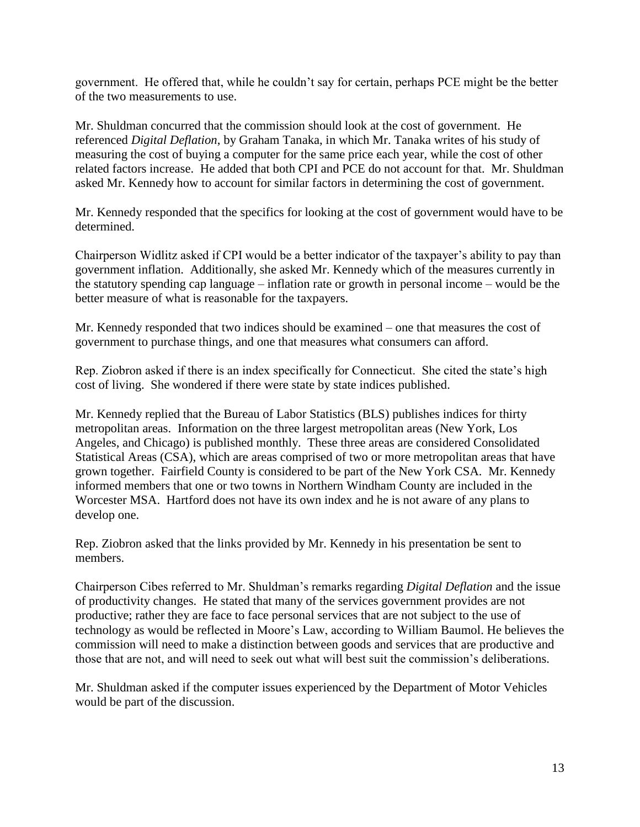government. He offered that, while he couldn't say for certain, perhaps PCE might be the better of the two measurements to use.

Mr. Shuldman concurred that the commission should look at the cost of government. He referenced *Digital Deflation*, by Graham Tanaka, in which Mr. Tanaka writes of his study of measuring the cost of buying a computer for the same price each year, while the cost of other related factors increase. He added that both CPI and PCE do not account for that. Mr. Shuldman asked Mr. Kennedy how to account for similar factors in determining the cost of government.

Mr. Kennedy responded that the specifics for looking at the cost of government would have to be determined.

Chairperson Widlitz asked if CPI would be a better indicator of the taxpayer's ability to pay than government inflation. Additionally, she asked Mr. Kennedy which of the measures currently in the statutory spending cap language – inflation rate or growth in personal income – would be the better measure of what is reasonable for the taxpayers.

Mr. Kennedy responded that two indices should be examined – one that measures the cost of government to purchase things, and one that measures what consumers can afford.

Rep. Ziobron asked if there is an index specifically for Connecticut. She cited the state's high cost of living. She wondered if there were state by state indices published.

Mr. Kennedy replied that the Bureau of Labor Statistics (BLS) publishes indices for thirty metropolitan areas. Information on the three largest metropolitan areas (New York, Los Angeles, and Chicago) is published monthly. These three areas are considered Consolidated Statistical Areas (CSA), which are areas comprised of two or more metropolitan areas that have grown together. Fairfield County is considered to be part of the New York CSA. Mr. Kennedy informed members that one or two towns in Northern Windham County are included in the Worcester MSA. Hartford does not have its own index and he is not aware of any plans to develop one.

Rep. Ziobron asked that the links provided by Mr. Kennedy in his presentation be sent to members.

Chairperson Cibes referred to Mr. Shuldman's remarks regarding *Digital Deflation* and the issue of productivity changes. He stated that many of the services government provides are not productive; rather they are face to face personal services that are not subject to the use of technology as would be reflected in Moore's Law, according to William Baumol. He believes the commission will need to make a distinction between goods and services that are productive and those that are not, and will need to seek out what will best suit the commission's deliberations.

Mr. Shuldman asked if the computer issues experienced by the Department of Motor Vehicles would be part of the discussion.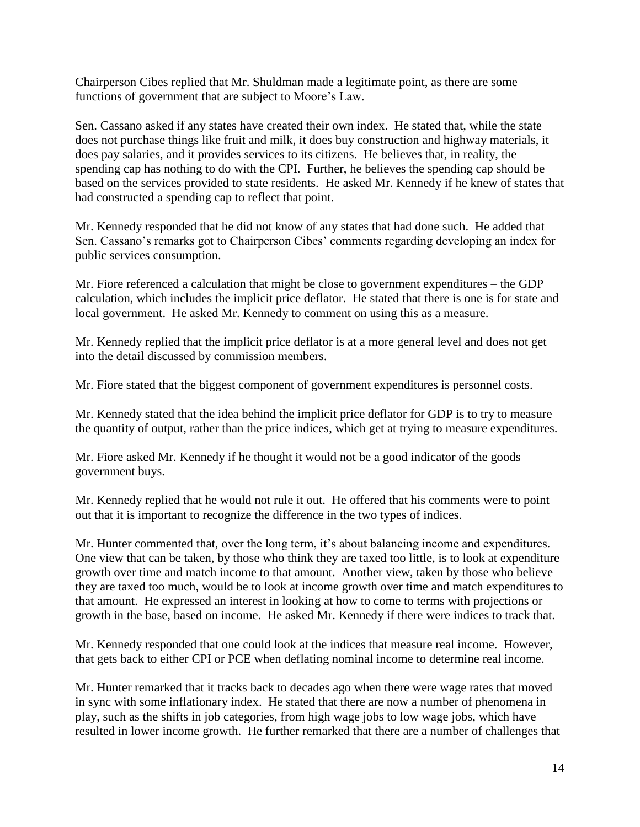Chairperson Cibes replied that Mr. Shuldman made a legitimate point, as there are some functions of government that are subject to Moore's Law.

Sen. Cassano asked if any states have created their own index. He stated that, while the state does not purchase things like fruit and milk, it does buy construction and highway materials, it does pay salaries, and it provides services to its citizens. He believes that, in reality, the spending cap has nothing to do with the CPI. Further, he believes the spending cap should be based on the services provided to state residents. He asked Mr. Kennedy if he knew of states that had constructed a spending cap to reflect that point.

Mr. Kennedy responded that he did not know of any states that had done such. He added that Sen. Cassano's remarks got to Chairperson Cibes' comments regarding developing an index for public services consumption.

Mr. Fiore referenced a calculation that might be close to government expenditures – the GDP calculation, which includes the implicit price deflator. He stated that there is one is for state and local government. He asked Mr. Kennedy to comment on using this as a measure.

Mr. Kennedy replied that the implicit price deflator is at a more general level and does not get into the detail discussed by commission members.

Mr. Fiore stated that the biggest component of government expenditures is personnel costs.

Mr. Kennedy stated that the idea behind the implicit price deflator for GDP is to try to measure the quantity of output, rather than the price indices, which get at trying to measure expenditures.

Mr. Fiore asked Mr. Kennedy if he thought it would not be a good indicator of the goods government buys.

Mr. Kennedy replied that he would not rule it out. He offered that his comments were to point out that it is important to recognize the difference in the two types of indices.

Mr. Hunter commented that, over the long term, it's about balancing income and expenditures. One view that can be taken, by those who think they are taxed too little, is to look at expenditure growth over time and match income to that amount. Another view, taken by those who believe they are taxed too much, would be to look at income growth over time and match expenditures to that amount. He expressed an interest in looking at how to come to terms with projections or growth in the base, based on income. He asked Mr. Kennedy if there were indices to track that.

Mr. Kennedy responded that one could look at the indices that measure real income. However, that gets back to either CPI or PCE when deflating nominal income to determine real income.

Mr. Hunter remarked that it tracks back to decades ago when there were wage rates that moved in sync with some inflationary index. He stated that there are now a number of phenomena in play, such as the shifts in job categories, from high wage jobs to low wage jobs, which have resulted in lower income growth. He further remarked that there are a number of challenges that